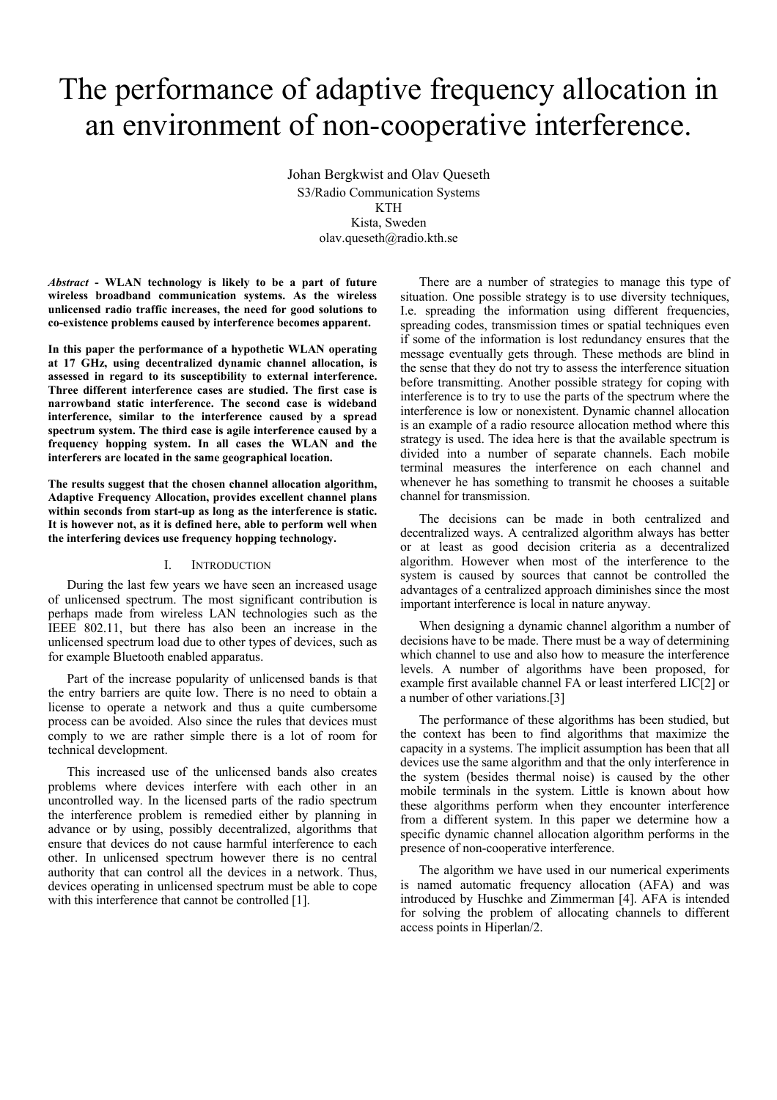# The performance of adaptive frequency allocation in an environment of non-cooperative interference.

Johan Bergkwist and Olav Queseth S3/Radio Communication Systems KTH Kista, Sweden olav.queseth@radio.kth.se

*Abstract* **- WLAN technology is likely to be a part of future wireless broadband communication systems. As the wireless unlicensed radio traffic increases, the need for good solutions to co-existence problems caused by interference becomes apparent.** 

**In this paper the performance of a hypothetic WLAN operating at 17 GHz, using decentralized dynamic channel allocation, is assessed in regard to its susceptibility to external interference. Three different interference cases are studied. The first case is narrowband static interference. The second case is wideband interference, similar to the interference caused by a spread spectrum system. The third case is agile interference caused by a frequency hopping system. In all cases the WLAN and the interferers are located in the same geographical location.** 

**The results suggest that the chosen channel allocation algorithm, Adaptive Frequency Allocation, provides excellent channel plans within seconds from start-up as long as the interference is static. It is however not, as it is defined here, able to perform well when the interfering devices use frequency hopping technology.** 

## I. INTRODUCTION

During the last few years we have seen an increased usage of unlicensed spectrum. The most significant contribution is perhaps made from wireless LAN technologies such as the IEEE 802.11, but there has also been an increase in the unlicensed spectrum load due to other types of devices, such as for example Bluetooth enabled apparatus.

Part of the increase popularity of unlicensed bands is that the entry barriers are quite low. There is no need to obtain a license to operate a network and thus a quite cumbersome process can be avoided. Also since the rules that devices must comply to we are rather simple there is a lot of room for technical development.

This increased use of the unlicensed bands also creates problems where devices interfere with each other in an uncontrolled way. In the licensed parts of the radio spectrum the interference problem is remedied either by planning in advance or by using, possibly decentralized, algorithms that ensure that devices do not cause harmful interference to each other. In unlicensed spectrum however there is no central authority that can control all the devices in a network. Thus, devices operating in unlicensed spectrum must be able to cope with this interference that cannot be controlled [1].

There are a number of strategies to manage this type of situation. One possible strategy is to use diversity techniques, I.e. spreading the information using different frequencies, spreading codes, transmission times or spatial techniques even if some of the information is lost redundancy ensures that the message eventually gets through. These methods are blind in the sense that they do not try to assess the interference situation before transmitting. Another possible strategy for coping with interference is to try to use the parts of the spectrum where the interference is low or nonexistent. Dynamic channel allocation is an example of a radio resource allocation method where this strategy is used. The idea here is that the available spectrum is divided into a number of separate channels. Each mobile terminal measures the interference on each channel and whenever he has something to transmit he chooses a suitable channel for transmission.

The decisions can be made in both centralized and decentralized ways. A centralized algorithm always has better or at least as good decision criteria as a decentralized algorithm. However when most of the interference to the system is caused by sources that cannot be controlled the advantages of a centralized approach diminishes since the most important interference is local in nature anyway.

When designing a dynamic channel algorithm a number of decisions have to be made. There must be a way of determining which channel to use and also how to measure the interference levels. A number of algorithms have been proposed, for example first available channel FA or least interfered LIC[2] or a number of other variations.[3]

The performance of these algorithms has been studied, but the context has been to find algorithms that maximize the capacity in a systems. The implicit assumption has been that all devices use the same algorithm and that the only interference in the system (besides thermal noise) is caused by the other mobile terminals in the system. Little is known about how these algorithms perform when they encounter interference from a different system. In this paper we determine how a specific dynamic channel allocation algorithm performs in the presence of non-cooperative interference.

The algorithm we have used in our numerical experiments is named automatic frequency allocation (AFA) and was introduced by Huschke and Zimmerman [4]. AFA is intended for solving the problem of allocating channels to different access points in Hiperlan/2.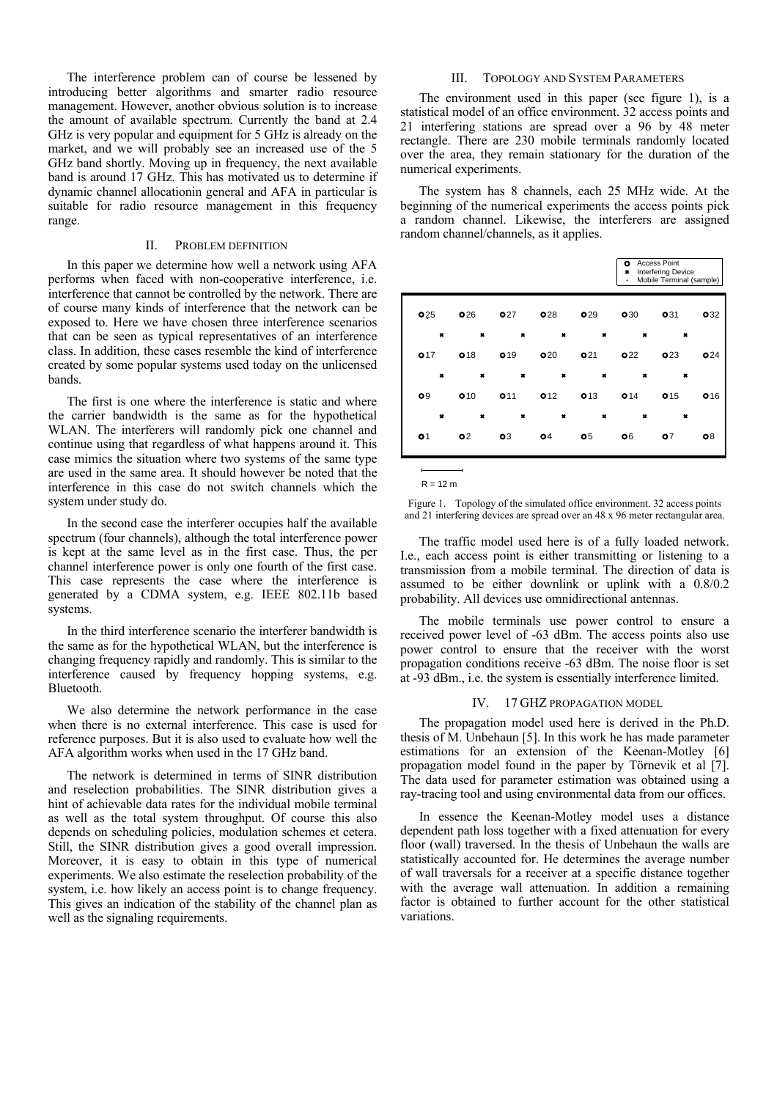The interference problem can of course be lessened by introducing better algorithms and smarter radio resource management. However, another obvious solution is to increase the amount of available spectrum. Currently the band at 2.4 GHz is very popular and equipment for 5 GHz is already on the market, and we will probably see an increased use of the 5 GHz band shortly. Moving up in frequency, the next available band is around 17 GHz. This has motivated us to determine if dynamic channel allocationin general and AFA in particular is suitable for radio resource management in this frequency range.

## II. PROBLEM DEFINITION

In this paper we determine how well a network using AFA performs when faced with non-cooperative interference, i.e. interference that cannot be controlled by the network. There are of course many kinds of interference that the network can be exposed to. Here we have chosen three interference scenarios that can be seen as typical representatives of an interference class. In addition, these cases resemble the kind of interference created by some popular systems used today on the unlicensed bands.

The first is one where the interference is static and where the carrier bandwidth is the same as for the hypothetical WLAN. The interferers will randomly pick one channel and continue using that regardless of what happens around it. This case mimics the situation where two systems of the same type are used in the same area. It should however be noted that the interference in this case do not switch channels which the system under study do.

In the second case the interferer occupies half the available spectrum (four channels), although the total interference power is kept at the same level as in the first case. Thus, the per channel interference power is only one fourth of the first case. This case represents the case where the interference is generated by a CDMA system, e.g. IEEE 802.11b based systems.

In the third interference scenario the interferer bandwidth is the same as for the hypothetical WLAN, but the interference is changing frequency rapidly and randomly. This is similar to the interference caused by frequency hopping systems, e.g. Bluetooth.

We also determine the network performance in the case when there is no external interference. This case is used for reference purposes. But it is also used to evaluate how well the AFA algorithm works when used in the 17 GHz band.

The network is determined in terms of SINR distribution and reselection probabilities. The SINR distribution gives a hint of achievable data rates for the individual mobile terminal as well as the total system throughput. Of course this also depends on scheduling policies, modulation schemes et cetera. Still, the SINR distribution gives a good overall impression. Moreover, it is easy to obtain in this type of numerical experiments. We also estimate the reselection probability of the system, i.e. how likely an access point is to change frequency. This gives an indication of the stability of the channel plan as well as the signaling requirements.

# III. TOPOLOGY AND SYSTEM PARAMETERS

The environment used in this paper (see figure 1), is a statistical model of an office environment. 32 access points and 21 interfering stations are spread over a 96 by 48 meter rectangle. There are 230 mobile terminals randomly located over the area, they remain stationary for the duration of the numerical experiments.

The system has 8 channels, each 25 MHz wide. At the beginning of the numerical experiments the access points pick a random channel. Likewise, the interferers are assigned random channel/channels, as it applies.

|                           |                                        |                 |                 |                  | Access Point<br>۰<br>Interfering Device<br>×<br>Mobile Terminal (sample)<br>$\bullet$ |                       |     |
|---------------------------|----------------------------------------|-----------------|-----------------|------------------|---------------------------------------------------------------------------------------|-----------------------|-----|
| Q <sub>25</sub>           | 026                                    | O27             | O28             | ø<br>029         | $\cdot$ 030.                                                                          | 031                   | 032 |
| ×<br>017<br>×,            | $\boldsymbol{\ast}$<br>O <sub>18</sub> | ×<br>019        | ×<br>020<br>×   | $\cdot$ 021<br>× | v.<br>O <sub>22</sub>                                                                 | ×<br>$\cdot$ 023<br>× | 024 |
| O <sub>9</sub><br>٠<br>ж, | O <sub>10</sub><br>i.<br>×             | O <sub>11</sub> | O <sub>12</sub> | 013<br>×         | 014<br>×                                                                              | <b>015</b>            | 016 |
| о1                        | $\cdot$ O <sub>2</sub><br>ò.           | $\mathbf{O}3$   | 04              | $\mathbf{0}5$    | 06                                                                                    | O7.                   | 08  |
| $R = 12 m$                |                                        |                 |                 |                  |                                                                                       |                       |     |



The traffic model used here is of a fully loaded network. I.e., each access point is either transmitting or listening to a transmission from a mobile terminal. The direction of data is assumed to be either downlink or uplink with a 0.8/0.2 probability. All devices use omnidirectional antennas.

The mobile terminals use power control to ensure a received power level of -63 dBm. The access points also use power control to ensure that the receiver with the worst propagation conditions receive -63 dBm. The noise floor is set at -93 dBm., i.e. the system is essentially interference limited.

#### IV. 17 GHZ PROPAGATION MODEL

The propagation model used here is derived in the Ph.D. thesis of M. Unbehaun [5]. In this work he has made parameter estimations for an extension of the Keenan-Motley [6] propagation model found in the paper by Törnevik et al [7]. The data used for parameter estimation was obtained using a ray-tracing tool and using environmental data from our offices.

In essence the Keenan-Motley model uses a distance dependent path loss together with a fixed attenuation for every floor (wall) traversed. In the thesis of Unbehaun the walls are statistically accounted for. He determines the average number of wall traversals for a receiver at a specific distance together with the average wall attenuation. In addition a remaining factor is obtained to further account for the other statistical variations.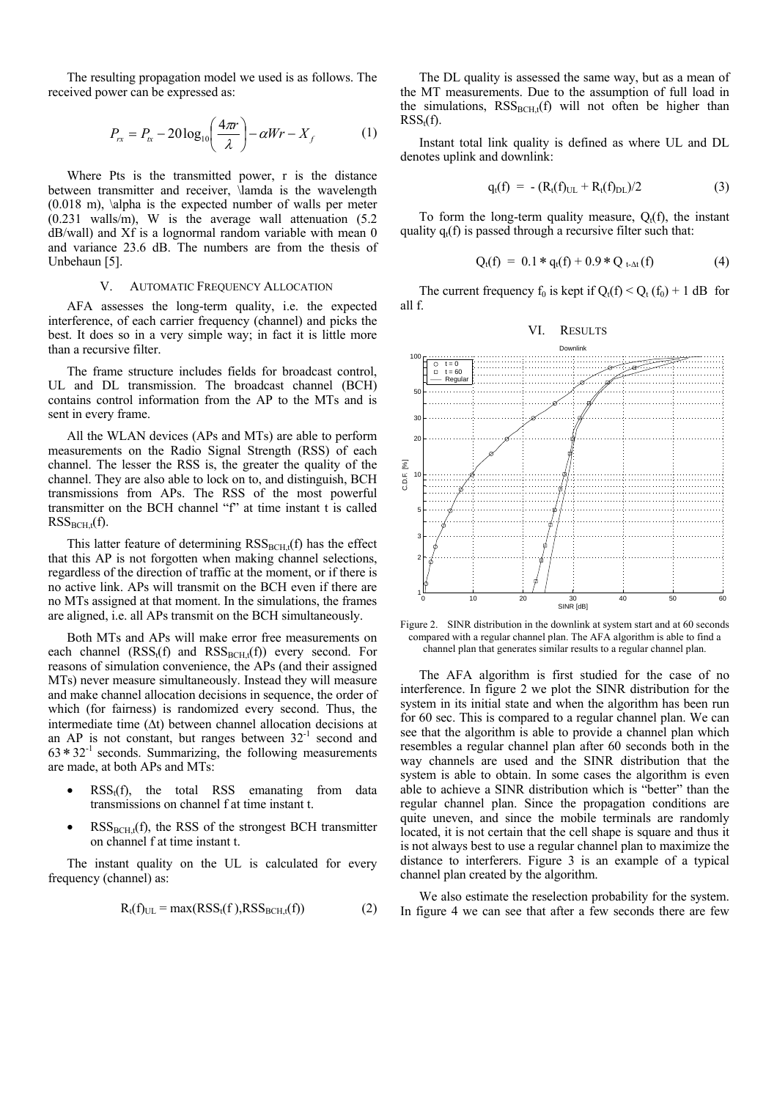The resulting propagation model we used is as follows. The received power can be expressed as:

$$
P_{rx} = P_{tx} - 20\log_{10}\left(\frac{4\pi r}{\lambda}\right) - \alpha Wr - X_f \tag{1}
$$

Where Pts is the transmitted power, r is the distance between transmitter and receiver, \lamda is the wavelength (0.018 m), \alpha is the expected number of walls per meter (0.231 walls/m), W is the average wall attenuation (5.2 dB/wall) and Xf is a lognormal random variable with mean 0 and variance 23.6 dB. The numbers are from the thesis of Unbehaun [5].

### V. AUTOMATIC FREQUENCY ALLOCATION

AFA assesses the long-term quality, i.e. the expected interference, of each carrier frequency (channel) and picks the best. It does so in a very simple way; in fact it is little more than a recursive filter.

The frame structure includes fields for broadcast control, UL and DL transmission. The broadcast channel (BCH) contains control information from the AP to the MTs and is sent in every frame.

All the WLAN devices (APs and MTs) are able to perform measurements on the Radio Signal Strength (RSS) of each channel. The lesser the RSS is, the greater the quality of the channel. They are also able to lock on to, and distinguish, BCH transmissions from APs. The RSS of the most powerful transmitter on the BCH channel "f" at time instant t is called  $RSS_{BCH}$ <sub>t</sub> $(f)$ .

This latter feature of determining  $RSS_{BCH}$ <sub>t</sub>(f) has the effect that this AP is not forgotten when making channel selections, regardless of the direction of traffic at the moment, or if there is no active link. APs will transmit on the BCH even if there are no MTs assigned at that moment. In the simulations, the frames are aligned, i.e. all APs transmit on the BCH simultaneously.

Both MTs and APs will make error free measurements on each channel  $(RSS<sub>t</sub>(f)$  and  $RSS<sub>RCH<sub>t</sub></sub>(f)$  every second. For reasons of simulation convenience, the APs (and their assigned MTs) never measure simultaneously. Instead they will measure and make channel allocation decisions in sequence, the order of which (for fairness) is randomized every second. Thus, the intermediate time (∆t) between channel allocation decisions at an AP is not constant, but ranges between  $32<sup>-1</sup>$  second and 63∗ 32-1 seconds. Summarizing, the following measurements are made, at both APs and MTs:

- $RSS<sub>t</sub>(f)$ , the total RSS emanating from data transmissions on channel f at time instant t.
- $RSS_{BCH,t}(f)$ , the RSS of the strongest BCH transmitter on channel f at time instant t.

The instant quality on the UL is calculated for every frequency (channel) as:

$$
R_t(f)_{UL} = \max(RSS_t(f), RSS_{BCH,t}(f))
$$
 (2)

The DL quality is assessed the same way, but as a mean of the MT measurements. Due to the assumption of full load in the simulations,  $RSS_{BCH,t}(f)$  will not often be higher than  $RSS<sub>t</sub>(f)$ .

Instant total link quality is defined as where UL and DL denotes uplink and downlink:

$$
q_t(f) = - (R_t(f)_{UL} + R_t(f)_{DL})/2 \tag{3}
$$

To form the long-term quality measure,  $Q_t(f)$ , the instant quality  $q_t(f)$  is passed through a recursive filter such that:

$$
Q_{t}(f) = 0.1 * q_{t}(f) + 0.9 * Q_{t-\Delta t}(f)
$$
 (4)

The current frequency  $f_0$  is kept if  $Q_t(f) < Q_t(f_0) + 1$  dB for all f.



Figure 2. SINR distribution in the downlink at system start and at 60 seconds compared with a regular channel plan. The AFA algorithm is able to find a channel plan that generates similar results to a regular channel plan.

The AFA algorithm is first studied for the case of no interference. In figure 2 we plot the SINR distribution for the system in its initial state and when the algorithm has been run for 60 sec. This is compared to a regular channel plan. We can see that the algorithm is able to provide a channel plan which resembles a regular channel plan after 60 seconds both in the way channels are used and the SINR distribution that the system is able to obtain. In some cases the algorithm is even able to achieve a SINR distribution which is "better" than the regular channel plan. Since the propagation conditions are quite uneven, and since the mobile terminals are randomly located, it is not certain that the cell shape is square and thus it is not always best to use a regular channel plan to maximize the distance to interferers. Figure 3 is an example of a typical channel plan created by the algorithm.

We also estimate the reselection probability for the system. In figure 4 we can see that after a few seconds there are few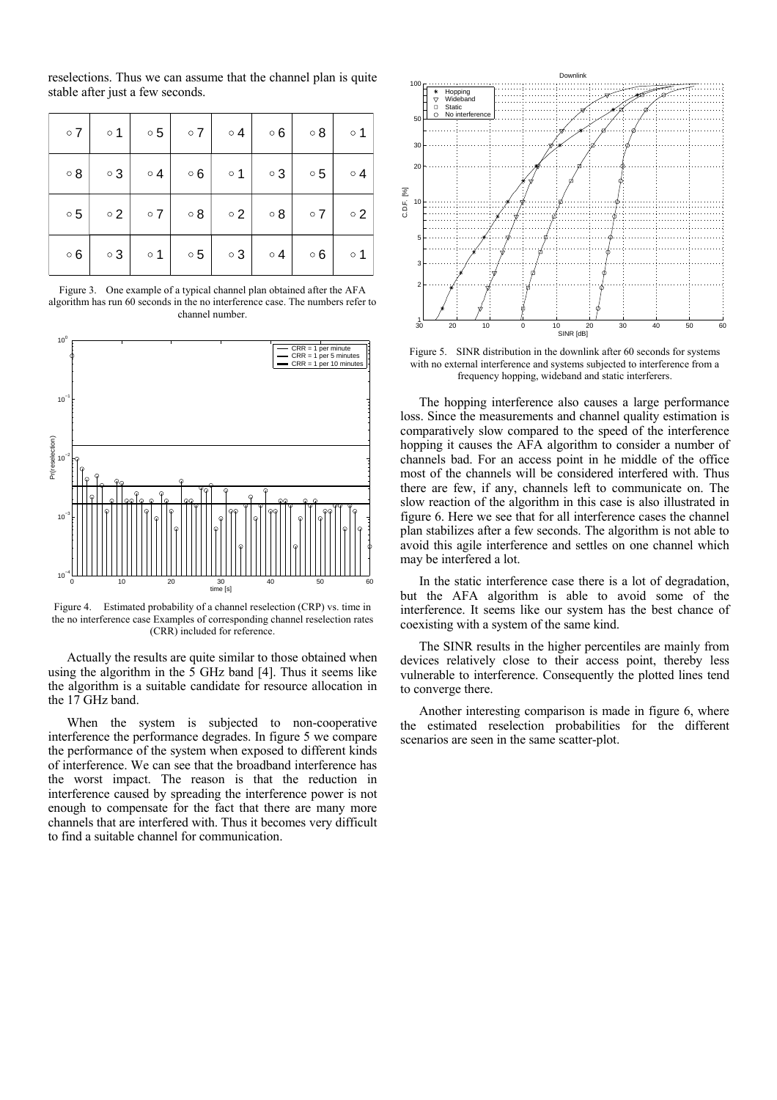reselections. Thus we can assume that the channel plan is quite stable after just a few seconds.

|              | $\circ$ 7 $\circ$ 1 $\circ$ 5 $\circ$ 7 $\circ$ 4 $\circ$ 6 $\circ$ 8 |                     |                               |           |                     |              | $\circ$ 1 |
|--------------|-----------------------------------------------------------------------|---------------------|-------------------------------|-----------|---------------------|--------------|-----------|
| $\circ 8$    |                                                                       | $\circ$ 3 $\circ$ 4 | $\circ 6$                     |           | $\circ$ 1 $\circ$ 3 | $^{\circ}$ 5 | $\circ$ 4 |
| $\circ$ 5    |                                                                       |                     | $\circ$ 2 $\circ$ 7 $\circ$ 8 | $\circ$ 2 | $\circ 8$           | $\circ$ 7    | $\circ$ 2 |
| $^{\circ}$ 6 |                                                                       | $\circ$ 3 $\circ$ 1 | $\circ$ 5                     | $\circ$ 3 | $\vert \circ 4$     | $^{\circ}$ 6 | $\circ$ 1 |

Figure 3. One example of a typical channel plan obtained after the AFA algorithm has run 60 seconds in the no interference case. The numbers refer to channel number.



Figure 4. Estimated probability of a channel reselection (CRP) vs. time in the no interference case Examples of corresponding channel reselection rates (CRR) included for reference.

Actually the results are quite similar to those obtained when using the algorithm in the 5 GHz band [4]. Thus it seems like the algorithm is a suitable candidate for resource allocation in the 17 GHz band.

When the system is subjected to non-cooperative interference the performance degrades. In figure 5 we compare the performance of the system when exposed to different kinds of interference. We can see that the broadband interference has the worst impact. The reason is that the reduction in interference caused by spreading the interference power is not enough to compensate for the fact that there are many more channels that are interfered with. Thus it becomes very difficult to find a suitable channel for communication.



Figure 5. SINR distribution in the downlink after 60 seconds for systems with no external interference and systems subjected to interference from a frequency hopping, wideband and static interferers.

The hopping interference also causes a large performance loss. Since the measurements and channel quality estimation is comparatively slow compared to the speed of the interference hopping it causes the AFA algorithm to consider a number of channels bad. For an access point in he middle of the office most of the channels will be considered interfered with. Thus there are few, if any, channels left to communicate on. The slow reaction of the algorithm in this case is also illustrated in figure 6. Here we see that for all interference cases the channel plan stabilizes after a few seconds. The algorithm is not able to avoid this agile interference and settles on one channel which may be interfered a lot.

In the static interference case there is a lot of degradation, but the AFA algorithm is able to avoid some of the interference. It seems like our system has the best chance of coexisting with a system of the same kind.

The SINR results in the higher percentiles are mainly from devices relatively close to their access point, thereby less vulnerable to interference. Consequently the plotted lines tend to converge there.

Another interesting comparison is made in figure 6, where the estimated reselection probabilities for the different scenarios are seen in the same scatter-plot.